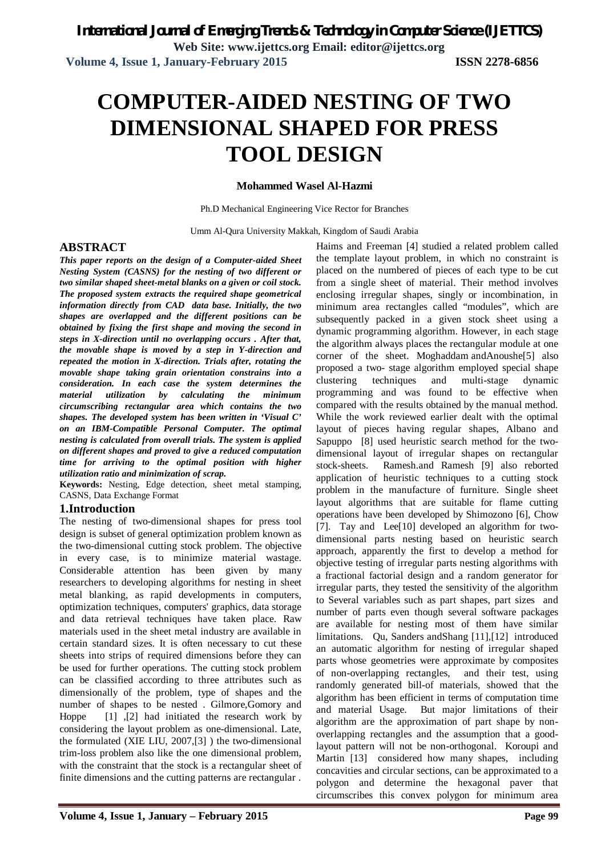# **COMPUTER-AIDED NESTING OF TWO DIMENSIONAL SHAPED FOR PRESS TOOL DESIGN**

#### **Mohammed Wasel Al-Hazmi**

Ph.D Mechanical Engineering Vice Rector for Branches

Umm Al-Qura University Makkah, Kingdom of Saudi Arabia

## **ABSTRACT**

*This paper reports on the design of a Computer-aided Sheet Nesting System (CASNS) for the nesting of two different or two similar shaped sheet-metal blanks on a given or coil stock. The proposed system extracts the required shape geometrical information directly from CAD data base. Initially, the two shapes are overlapped and the different positions can be obtained by fixing the first shape and moving the second in steps in X-direction until no overlapping occurs . After that, the movable shape is moved by a step in Y-direction and repeated the motion in X-direction. Trials after, rotating the movable shape taking grain orientation constrains into a consideration. In each case the system determines the material utilization by calculating the minimum circumscribing rectangular area which contains the two shapes. The developed system has been written in 'Visual C' on an IBM-Compatible Personal Computer. The optimal nesting is calculated from overall trials. The system is applied on different shapes and proved to give a reduced computation time for arriving to the optimal position with higher utilization ratio and minimization of scrap.*

**Keywords:** Nesting, Edge detection, sheet metal stamping, CASNS, Data Exchange Format

### **1.Introduction**

The nesting of two-dimensional shapes for press tool design is subset of general optimization problem known as the two-dimensional cutting stock problem. The objective in every case, is to minimize material wastage. Considerable attention has been given by many researchers to developing algorithms for nesting in sheet metal blanking, as rapid developments in computers, optimization techniques, computers' graphics, data storage and data retrieval techniques have taken place. Raw materials used in the sheet metal industry are available in certain standard sizes. It is often necessary to cut these sheets into strips of required dimensions before they can be used for further operations. The cutting stock problem can be classified according to three attributes such as dimensionally of the problem, type of shapes and the number of shapes to be nested . Gilmore,Gomory and Hoppe [1] ,[2] had initiated the research work by considering the layout problem as one-dimensional. Late, the formulated (XIE LIU, 2007,[3] ) the two-dimensional trim-loss problem also like the one dimensional problem, with the constraint that the stock is a rectangular sheet of finite dimensions and the cutting patterns are rectangular .

Haims and Freeman [4] studied a related problem called the template layout problem, in which no constraint is placed on the numbered of pieces of each type to be cut from a single sheet of material. Their method involves enclosing irregular shapes, singly or incombination, in minimum area rectangles called "modules", which are subsequently packed in a given stock sheet using a dynamic programming algorithm. However, in each stage the algorithm always places the rectangular module at one corner of the sheet. Moghaddam andAnoushe[5] also proposed a two- stage algorithm employed special shape clustering techniques and multi-stage dynamic programming and was found to be effective when compared with the results obtained by the manual method. While the work reviewed earlier dealt with the optimal layout of pieces having regular shapes, Albano and Sapuppo [8] used heuristic search method for the twodimensional layout of irregular shapes on rectangular stock-sheets. Ramesh.and Ramesh [9] also reborted application of heuristic techniques to a cutting stock problem in the manufacture of furniture. Single sheet layout algorithms that are suitable for flame cutting operations have been developed by Shimozono [6], Chow [7]. Tay and Lee[10] developed an algorithm for twodimensional parts nesting based on heuristic search approach, apparently the first to develop a method for objective testing of irregular parts nesting algorithms with a fractional factorial design and a random generator for irregular parts, they tested the sensitivity of the algorithm to Several variables such as part shapes, part sizes and number of parts even though several software packages are available for nesting most of them have similar limitations. Qu, Sanders andShang [11],[12] introduced an automatic algorithm for nesting of irregular shaped parts whose geometries were approximate by composites of non-overlapping rectangles, and their test, using randomly generated bill-of materials, showed that the algorithm has been efficient in terms of computation time and material Usage. But major limitations of their algorithm are the approximation of part shape by nonoverlapping rectangles and the assumption that a goodlayout pattern will not be non-orthogonal. Koroupi and Martin [13] considered how many shapes, including concavities and circular sections, can be approximated to a polygon and determine the hexagonal paver that circumscribes this convex polygon for minimum area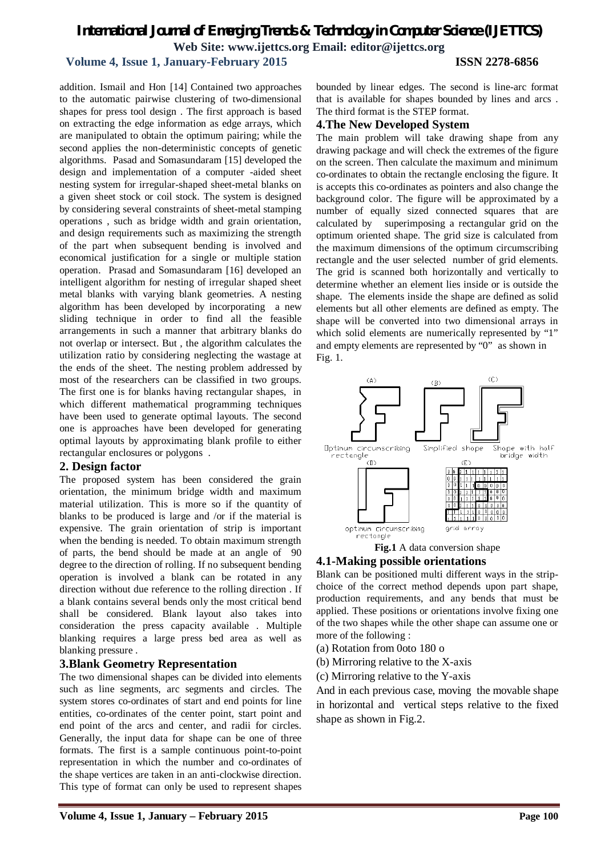## **Volume 4, Issue 1, January-February 2015 ISSN 2278-6856**

bounded by linear edges. The second is line-arc format that is available for shapes bounded by lines and arcs . The third format is the STEP format.

addition. Ismail and Hon [14] Contained two approaches to the automatic pairwise clustering of two-dimensional shapes for press tool design . The first approach is based on extracting the edge information as edge arrays, which are manipulated to obtain the optimum pairing; while the second applies the non-deterministic concepts of genetic algorithms. Pasad and Somasundaram [15] developed the design and implementation of a computer -aided sheet nesting system for irregular-shaped sheet-metal blanks on a given sheet stock or coil stock. The system is designed by considering several constraints of sheet-metal stamping operations , such as bridge width and grain orientation, and design requirements such as maximizing the strength of the part when subsequent bending is involved and economical justification for a single or multiple station operation. Prasad and Somasundaram [16] developed an intelligent algorithm for nesting of irregular shaped sheet metal blanks with varying blank geometries. A nesting algorithm has been developed by incorporating a new sliding technique in order to find all the feasible arrangements in such a manner that arbitrary blanks do not overlap or intersect. But , the algorithm calculates the utilization ratio by considering neglecting the wastage at the ends of the sheet. The nesting problem addressed by most of the researchers can be classified in two groups. The first one is for blanks having rectangular shapes, in which different mathematical programming techniques have been used to generate optimal layouts. The second one is approaches have been developed for generating optimal layouts by approximating blank profile to either rectangular enclosures or polygons .

### **2. Design factor**

The proposed system has been considered the grain orientation, the minimum bridge width and maximum material utilization. This is more so if the quantity of blanks to be produced is large and /or if the material is expensive. The grain orientation of strip is important when the bending is needed. To obtain maximum strength of parts, the bend should be made at an angle of 90 degree to the direction of rolling. If no subsequent bending operation is involved a blank can be rotated in any direction without due reference to the rolling direction . If a blank contains several bends only the most critical bend shall be considered. Blank layout also takes into consideration the press capacity available . Multiple blanking requires a large press bed area as well as blanking pressure .

## **3.Blank Geometry Representation**

The two dimensional shapes can be divided into elements such as line segments, arc segments and circles. The system stores co-ordinates of start and end points for line entities, co-ordinates of the center point, start point and end point of the arcs and center, and radii for circles. Generally, the input data for shape can be one of three formats. The first is a sample continuous point-to-point representation in which the number and co-ordinates of the shape vertices are taken in an anti-clockwise direction. This type of format can only be used to represent shapes

## **4.The New Developed System**

The main problem will take drawing shape from any drawing package and will check the extremes of the figure on the screen. Then calculate the maximum and minimum co-ordinates to obtain the rectangle enclosing the figure. It is accepts this co-ordinates as pointers and also change the background color. The figure will be approximated by a number of equally sized connected squares that are calculated by superimposing a rectangular grid on the optimum oriented shape. The grid size is calculated from the maximum dimensions of the optimum circumscribing rectangle and the user selected number of grid elements. The grid is scanned both horizontally and vertically to determine whether an element lies inside or is outside the shape. The elements inside the shape are defined as solid elements but all other elements are defined as empty. The shape will be converted into two dimensional arrays in which solid elements are numerically represented by "1" and empty elements are represented by "0" as shown in Fig. 1.



**Fig.1** A data conversion shape

### **4.1-Making possible orientations**

Blank can be positioned multi different ways in the stripchoice of the correct method depends upon part shape, production requirements, and any bends that must be applied. These positions or orientations involve fixing one of the two shapes while the other shape can assume one or more of the following :

- (a) Rotation from 0oto 180 o
- (b) Mirroring relative to the X-axis
- (c) Mirroring relative to the Y-axis

And in each previous case, moving the movable shape in horizontal and vertical steps relative to the fixed shape as shown in Fig.2.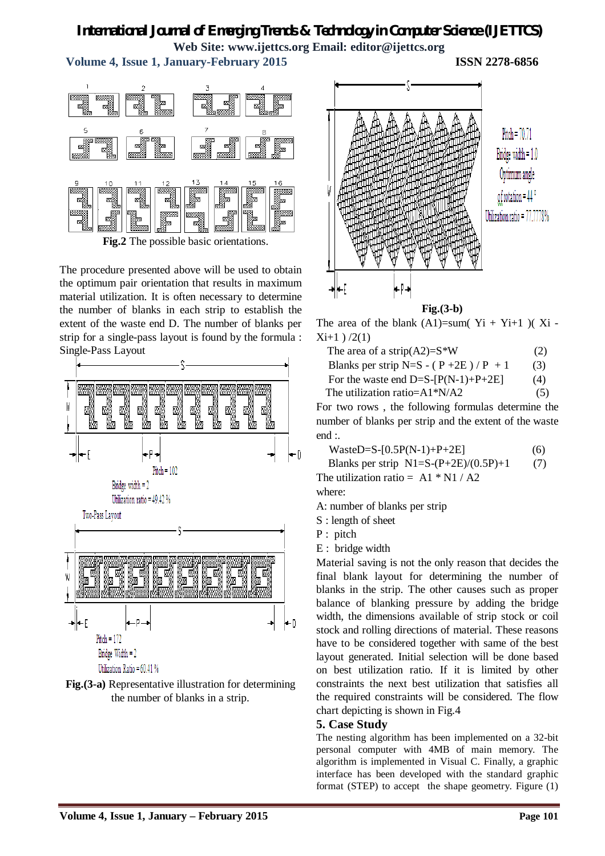**Volume 4, Issue 1, January-February 2015 ISSN 2278-6856**





The procedure presented above will be used to obtain the optimum pair orientation that results in maximum material utilization. It is often necessary to determine the number of blanks in each strip to establish the extent of the waste end D. The number of blanks per strip for a single-pass layout is found by the formula : Single-Pass Layout







**Fig.(3-b)**

The area of the blank  $(A1)$ =sum( $Y$ i +  $Y$ i+1 )( $X$ i - $Xi+1$  ) /2(1)

| The area of a strip(A2)= $S^*W$         | (2) |
|-----------------------------------------|-----|
| Blanks per strip N=S - $(P + 2E)/P + 1$ | (3) |
| For the waste end D=S- $[P(N-1)+P+2E]$  | (4) |

The utilization ratio= $A1^*N/A2$  (5)

For two rows , the following formulas determine the number of blanks per strip and the extent of the waste end :.

| $WasteD=S-[0.5P(N-1)+P+2E]$ | (6) |
|-----------------------------|-----|
|-----------------------------|-----|

Blanks per strip  $N1=S-(P+2E)/(0.5P)+1$  (7)

The utilization ratio =  $A1 * N1 / A2$ where:

A: number of blanks per strip

S : length of sheet

P : pitch

E : bridge width

Material saving is not the only reason that decides the final blank layout for determining the number of blanks in the strip. The other causes such as proper balance of blanking pressure by adding the bridge width, the dimensions available of strip stock or coil stock and rolling directions of material. These reasons have to be considered together with same of the best layout generated. Initial selection will be done based on best utilization ratio. If it is limited by other constraints the next best utilization that satisfies all the required constraints will be considered. The flow chart depicting is shown in Fig.4

# **5. Case Study**

The nesting algorithm has been implemented on a 32-bit personal computer with 4MB of main memory. The algorithm is implemented in Visual C. Finally, a graphic interface has been developed with the standard graphic format (STEP) to accept the shape geometry. Figure (1)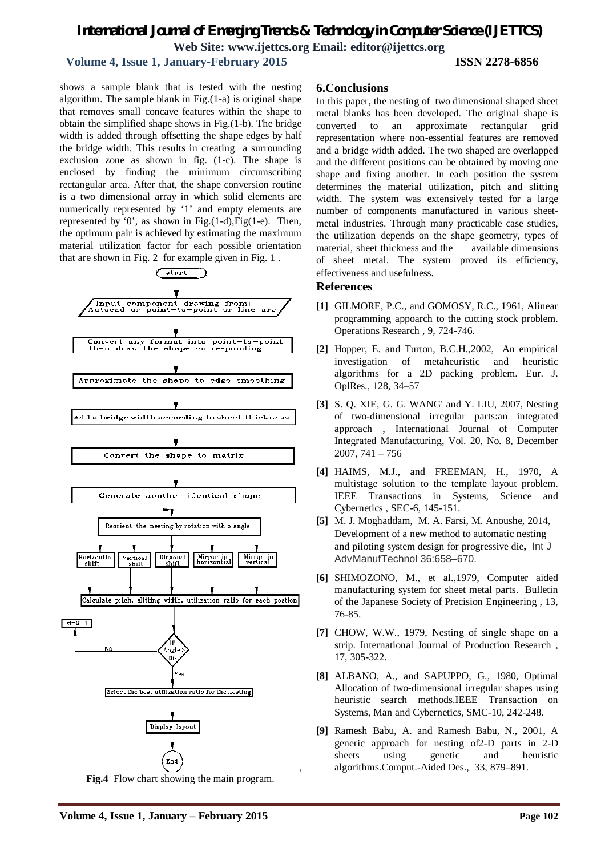## **Volume 4, Issue 1, January-February 2015 ISSN 2278-6856**

shows a sample blank that is tested with the nesting algorithm. The sample blank in Fig.(1-a) is original shape that removes small concave features within the shape to obtain the simplified shape shows in Fig.(1-b). The bridge width is added through offsetting the shape edges by half the bridge width. This results in creating a surrounding exclusion zone as shown in fig. (1-c). The shape is enclosed by finding the minimum circumscribing rectangular area. After that, the shape conversion routine is a two dimensional array in which solid elements are numerically represented by '1' and empty elements are represented by  $0$ , as shown in Fig.(1-d), Fig(1-e). Then, the optimum pair is achieved by estimating the maximum material utilization factor for each possible orientation that are shown in Fig. 2 for example given in Fig. 1 .



**Fig.4** Flow chart showing the main program.

## **6.Conclusions**

In this paper, the nesting of two dimensional shaped sheet metal blanks has been developed. The original shape is converted to an approximate rectangular grid representation where non-essential features are removed and a bridge width added. The two shaped are overlapped and the different positions can be obtained by moving one shape and fixing another. In each position the system determines the material utilization, pitch and slitting width. The system was extensively tested for a large number of components manufactured in various sheetmetal industries. Through many practicable case studies, the utilization depends on the shape geometry, types of material, sheet thickness and the available dimensions sheet metal. The system proved its efficiency, effectiveness and usefulness.

#### **References**

- **[1]** GILMORE, P.C., and GOMOSY, R.C., 1961, Alinear programming appoarch to the cutting stock problem. Operations Research , 9, 724-746.
- **[2]** Hopper, E. and Turton, B.C.H.,2002, An empirical investigation of metaheuristic and heuristic algorithms for a 2D packing problem. Eur. J. OplRes., 128, 34–57
- **[3]** S. Q. XIE, G. G. WANG' and Y. LIU, 2007, Nesting of two-dimensional irregular parts:an integrated approach , International Journal of Computer Integrated Manufacturing, Vol. 20, No. 8, December 2007, 741 – 756
- **[4]** HAIMS, M.J., and FREEMAN, H., 1970, A multistage solution to the template layout problem. IEEE Transactions in Systems, Science and Cybernetics , SEC-6, 145-151.
- **[5]** M. J. Moghaddam, M. A. Farsi, M. Anoushe, 2014, Development of a new method to automatic nesting and piloting system design for progressive die**,** Int J AdvManufTechnol 36:658–670.
- **[6]** SHIMOZONO, M., et al.,1979, Computer aided manufacturing system for sheet metal parts. Bulletin of the Japanese Society of Precision Engineering , 13, 76-85.
- **[7]** CHOW, W.W., 1979, Nesting of single shape on a strip. International Journal of Production Research , 17, 305-322.
- **[8]** ALBANO, A., and SAPUPPO, G., 1980, Optimal Allocation of two-dimensional irregular shapes using heuristic search methods.IEEE Transaction on Systems, Man and Cybernetics, SMC-10, 242-248.
- **[9]** Ramesh Babu, A. and Ramesh Babu, N., 2001, A generic approach for nesting of2-D parts in 2-D sheets using genetic and heuristic algorithms.Comput.-Aided Des., 33, 879–891.